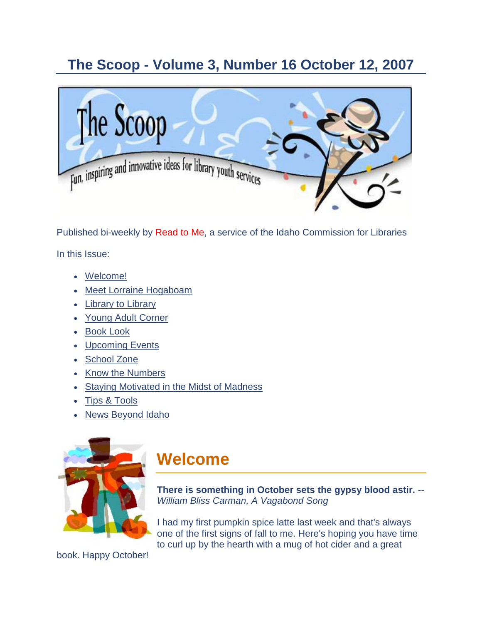### **The Scoop - Volume 3, Number 16 October 12, 2007**



Published bi-weekly by [Read to Me,](http://164.165.30.103/icfl/readtome) a service of the Idaho Commission for Libraries

In this Issue:

- [Welcome!](#page-0-0)
- [Meet Lorraine Hogaboam](#page-1-0)
- [Library to Library](#page-2-0)
- [Young Adult Corner](#page-4-0)
- [Book Look](#page-5-0)
- [Upcoming Events](#page-6-0)
- [School](#page-9-0) Zone
- [Know the Numbers](#page-10-0)
- [Staying Motivated in the](#page-11-0) Midst of Madness
- **[Tips & Tools](#page-12-0)**
- [News Beyond Idaho](#page-15-0)



## <span id="page-0-0"></span>**Welcome**

**There is something in October sets the gypsy blood astir.** *-- William Bliss Carman, A Vagabond Song*

I had my first pumpkin spice latte last week and that's always one of the first signs of fall to me. Here's hoping you have time to curl up by the hearth with a mug of hot cider and a great

book. Happy October!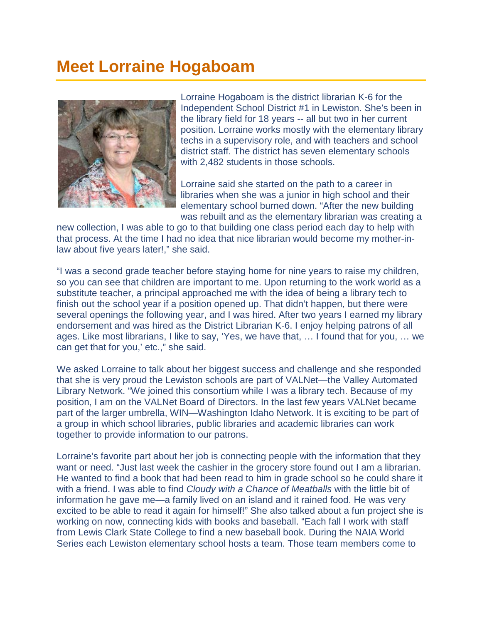## <span id="page-1-0"></span>**Meet Lorraine Hogaboam**



Lorraine Hogaboam is the district librarian K-6 for the Independent School District #1 in Lewiston. She's been in the library field for 18 years -- all but two in her current position. Lorraine works mostly with the elementary library techs in a supervisory role, and with teachers and school district staff. The district has seven elementary schools with 2,482 students in those schools.

Lorraine said she started on the path to a career in libraries when she was a junior in high school and their elementary school burned down. "After the new building was rebuilt and as the elementary librarian was creating a

new collection, I was able to go to that building one class period each day to help with that process. At the time I had no idea that nice librarian would become my mother-inlaw about five years later!," she said.

"I was a second grade teacher before staying home for nine years to raise my children, so you can see that children are important to me. Upon returning to the work world as a substitute teacher, a principal approached me with the idea of being a library tech to finish out the school year if a position opened up. That didn't happen, but there were several openings the following year, and I was hired. After two years I earned my library endorsement and was hired as the District Librarian K-6. I enjoy helping patrons of all ages. Like most librarians, I like to say, 'Yes, we have that, … I found that for you, … we can get that for you,' etc.," she said.

We asked Lorraine to talk about her biggest success and challenge and she responded that she is very proud the Lewiston schools are part of VALNet—the Valley Automated Library Network. "We joined this consortium while I was a library tech. Because of my position, I am on the VALNet Board of Directors. In the last few years VALNet became part of the larger umbrella, WIN—Washington Idaho Network. It is exciting to be part of a group in which school libraries, public libraries and academic libraries can work together to provide information to our patrons.

Lorraine's favorite part about her job is connecting people with the information that they want or need. "Just last week the cashier in the grocery store found out I am a librarian. He wanted to find a book that had been read to him in grade school so he could share it with a friend. I was able to find *Cloudy with a Chance of Meatballs* with the little bit of information he gave me—a family lived on an island and it rained food. He was very excited to be able to read it again for himself!" She also talked about a fun project she is working on now, connecting kids with books and baseball. "Each fall I work with staff from Lewis Clark State College to find a new baseball book. During the NAIA World Series each Lewiston elementary school hosts a team. Those team members come to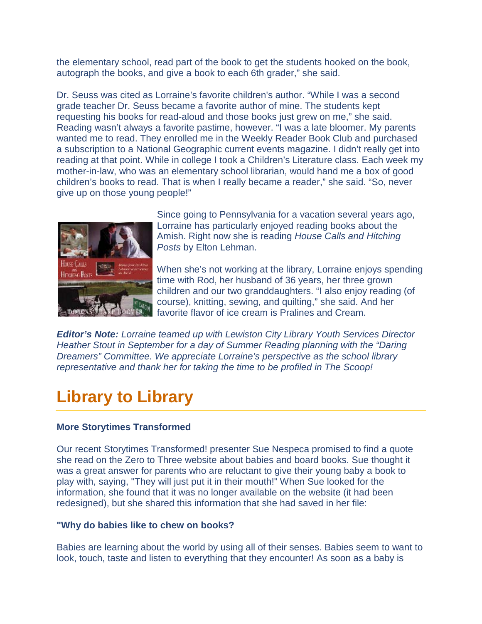the elementary school, read part of the book to get the students hooked on the book, autograph the books, and give a book to each 6th grader," she said.

Dr. Seuss was cited as Lorraine's favorite children's author. "While I was a second grade teacher Dr. Seuss became a favorite author of mine. The students kept requesting his books for read-aloud and those books just grew on me," she said. Reading wasn't always a favorite pastime, however. "I was a late bloomer. My parents wanted me to read. They enrolled me in the Weekly Reader Book Club and purchased a subscription to a National Geographic current events magazine. I didn't really get into reading at that point. While in college I took a Children's Literature class. Each week my mother-in-law, who was an elementary school librarian, would hand me a box of good children's books to read. That is when I really became a reader," she said. "So, never give up on those young people!"



Since going to Pennsylvania for a vacation several years ago, Lorraine has particularly enjoyed reading books about the Amish. Right now she is reading *House Calls and Hitching Posts* by Elton Lehman.

When she's not working at the library, Lorraine enjoys spending time with Rod, her husband of 36 years, her three grown children and our two granddaughters. "I also enjoy reading (of course), knitting, sewing, and quilting," she said. And her favorite flavor of ice cream is Pralines and Cream.

*Editor's Note: Lorraine teamed up with Lewiston City Library Youth Services Director Heather Stout in September for a day of Summer Reading planning with the "Daring Dreamers" Committee. We appreciate Lorraine's perspective as the school library representative and thank her for taking the time to be profiled in The Scoop!*

## <span id="page-2-0"></span>**Library to Library**

#### **More Storytimes Transformed**

Our recent Storytimes Transformed! presenter Sue Nespeca promised to find a quote she read on the Zero to Three website about babies and board books. Sue thought it was a great answer for parents who are reluctant to give their young baby a book to play with, saying, "They will just put it in their mouth!" When Sue looked for the information, she found that it was no longer available on the website (it had been redesigned), but she shared this information that she had saved in her file:

#### **"Why do babies like to chew on books?**

Babies are learning about the world by using all of their senses. Babies seem to want to look, touch, taste and listen to everything that they encounter! As soon as a baby is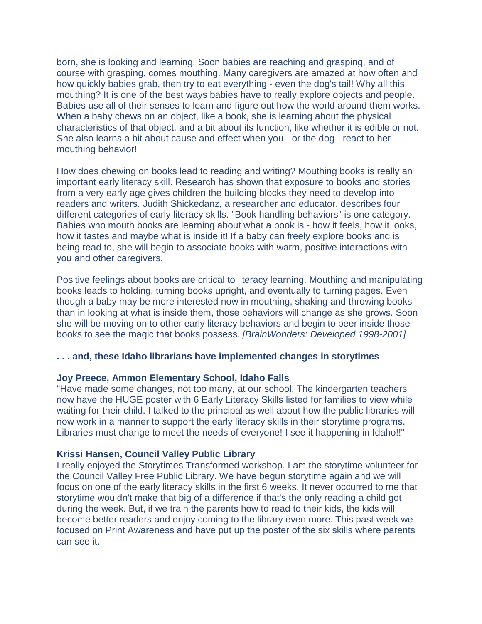born, she is looking and learning. Soon babies are reaching and grasping, and of course with grasping, comes mouthing. Many caregivers are amazed at how often and how quickly babies grab, then try to eat everything - even the dog's tail! Why all this mouthing? It is one of the best ways babies have to really explore objects and people. Babies use all of their senses to learn and figure out how the world around them works. When a baby chews on an object, like a book, she is learning about the physical characteristics of that object, and a bit about its function, like whether it is edible or not. She also learns a bit about cause and effect when you - or the dog - react to her mouthing behavior!

How does chewing on books lead to reading and writing? Mouthing books is really an important early literacy skill. Research has shown that exposure to books and stories from a very early age gives children the building blocks they need to develop into readers and writers. Judith Shickedanz, a researcher and educator, describes four different categories of early literacy skills. "Book handling behaviors" is one category. Babies who mouth books are learning about what a book is - how it feels, how it looks, how it tastes and maybe what is inside it! If a baby can freely explore books and is being read to, she will begin to associate books with warm, positive interactions with you and other caregivers.

Positive feelings about books are critical to literacy learning. Mouthing and manipulating books leads to holding, turning books upright, and eventually to turning pages. Even though a baby may be more interested now in mouthing, shaking and throwing books than in looking at what is inside them, those behaviors will change as she grows. Soon she will be moving on to other early literacy behaviors and begin to peer inside those books to see the magic that books possess. *[BrainWonders: Developed 1998-2001]* 

#### **. . . and, these Idaho librarians have implemented changes in storytimes**

#### **Joy Preece, Ammon Elementary School, Idaho Falls**

"Have made some changes, not too many, at our school. The kindergarten teachers now have the HUGE poster with 6 Early Literacy Skills listed for families to view while waiting for their child. I talked to the principal as well about how the public libraries will now work in a manner to support the early literacy skills in their storytime programs. Libraries must change to meet the needs of everyone! I see it happening in Idaho!!"

#### **Krissi Hansen, Council Valley Public Library**

I really enjoyed the Storytimes Transformed workshop. I am the storytime volunteer for the Council Valley Free Public Library. We have begun storytime again and we will focus on one of the early literacy skills in the first 6 weeks. It never occurred to me that storytime wouldn't make that big of a difference if that's the only reading a child got during the week. But, if we train the parents how to read to their kids, the kids will become better readers and enjoy coming to the library even more. This past week we focused on Print Awareness and have put up the poster of the six skills where parents can see it.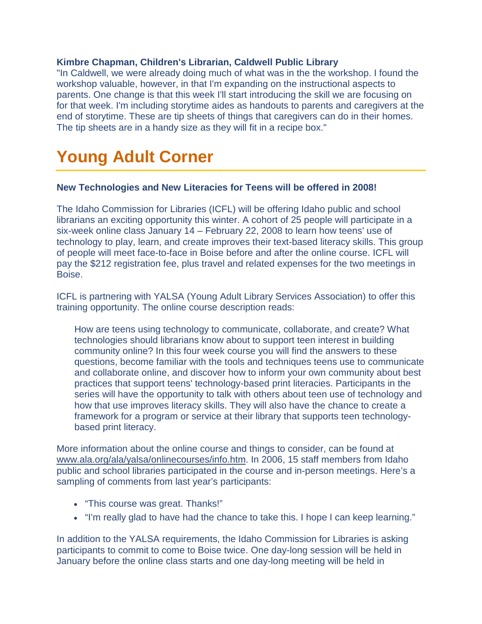#### **Kimbre Chapman, Children's Librarian, Caldwell Public Library**

"In Caldwell, we were already doing much of what was in the the workshop. I found the workshop valuable, however, in that I'm expanding on the instructional aspects to parents. One change is that this week I'll start introducing the skill we are focusing on for that week. I'm including storytime aides as handouts to parents and caregivers at the end of storytime. These are tip sheets of things that caregivers can do in their homes. The tip sheets are in a handy size as they will fit in a recipe box."

## <span id="page-4-0"></span>**Young Adult Corner**

#### **New Technologies and New Literacies for Teens will be offered in 2008!**

The Idaho Commission for Libraries (ICFL) will be offering Idaho public and school librarians an exciting opportunity this winter. A cohort of 25 people will participate in a six-week online class January 14 – February 22, 2008 to learn how teens' use of technology to play, learn, and create improves their text-based literacy skills. This group of people will meet face-to-face in Boise before and after the online course. ICFL will pay the \$212 registration fee, plus travel and related expenses for the two meetings in Boise.

ICFL is partnering with YALSA (Young Adult Library Services Association) to offer this training opportunity. The online course description reads:

How are teens using technology to communicate, collaborate, and create? What technologies should librarians know about to support teen interest in building community online? In this four week course you will find the answers to these questions, become familiar with the tools and techniques teens use to communicate and collaborate online, and discover how to inform your own community about best practices that support teens' technology-based print literacies. Participants in the series will have the opportunity to talk with others about teen use of technology and how that use improves literacy skills. They will also have the chance to create a framework for a program or service at their library that supports teen technologybased print literacy.

More information about the online course and things to consider, can be found at [www.ala.org/ala/yalsa/onlinecourses/info.htm.](http://www.ala.org/ala/yalsa/onlinecourses/info.htm) In 2006, 15 staff members from Idaho public and school libraries participated in the course and in-person meetings. Here's a sampling of comments from last year's participants:

- "This course was great. Thanks!"
- "I'm really glad to have had the chance to take this. I hope I can keep learning."

In addition to the YALSA requirements, the Idaho Commission for Libraries is asking participants to commit to come to Boise twice. One day-long session will be held in January before the online class starts and one day-long meeting will be held in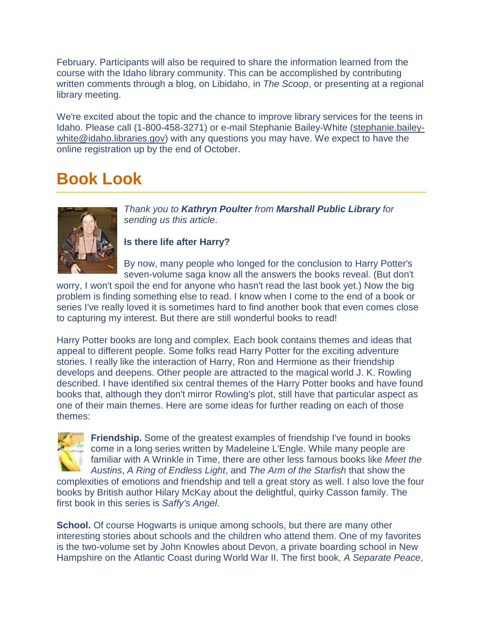February. Participants will also be required to share the information learned from the course with the Idaho library community. This can be accomplished by contributing written comments through a blog, on Libidaho, in *The Scoop*, or presenting at a regional library meeting.

We're excited about the topic and the chance to improve library services for the teens in Idaho. Please call (1-800-458-3271) or e-mail Stephanie Bailey-White [\(stephanie.bailey](mailto:stephanie.bailey-white@idaho.libraries.gov)[white@idaho.libraries.gov\)](mailto:stephanie.bailey-white@idaho.libraries.gov) with any questions you may have. We expect to have the online registration up by the end of October.

## <span id="page-5-0"></span>**Book Look**



*Thank you to Kathryn Poulter from Marshall Public Library for sending us this article*.

**Is there life after Harry?**

By now, many people who longed for the conclusion to Harry Potter's seven-volume saga know all the answers the books reveal. (But don't

worry, I won't spoil the end for anyone who hasn't read the last book yet.) Now the big problem is finding something else to read. I know when I come to the end of a book or series I've really loved it is sometimes hard to find another book that even comes close to capturing my interest. But there are still wonderful books to read!

Harry Potter books are long and complex. Each book contains themes and ideas that appeal to different people. Some folks read Harry Potter for the exciting adventure stories. I really like the interaction of Harry, Ron and Hermione as their friendship develops and deepens. Other people are attracted to the magical world J. K. Rowling described. I have identified six central themes of the Harry Potter books and have found books that, although they don't mirror Rowling's plot, still have that particular aspect as one of their main themes. Here are some ideas for further reading on each of those themes:



**Friendship.** Some of the greatest examples of friendship I've found in books come in a long series written by Madeleine L'Engle. While many people are familiar with A Wrinkle in Time, there are other less famous books like *Meet the Austins*, *A Ring of Endless Light*, and *The Arm of the Starfish* that show the

complexities of emotions and friendship and tell a great story as well. I also love the four books by British author Hilary McKay about the delightful, quirky Casson family. The first book in this series is *Saffy's Angel*.

**School.** Of course Hogwarts is unique among schools, but there are many other interesting stories about schools and the children who attend them. One of my favorites is the two-volume set by John Knowles about Devon, a private boarding school in New Hampshire on the Atlantic Coast during World War II. The first book, *A Separate Peace*,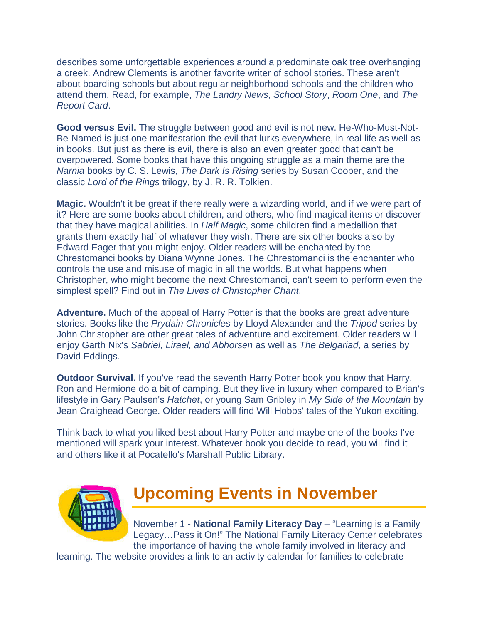<span id="page-6-0"></span>describes some unforgettable experiences around a predominate oak tree overhanging a creek. Andrew Clements is another favorite writer of school stories. These aren't about boarding schools but about regular neighborhood schools and the children who attend them. Read, for example, *The Landry News*, *School Story*, *Room One*, and *The Report Card*.

**Good versus Evil.** The struggle between good and evil is not new. He-Who-Must-Not-Be-Named is just one manifestation the evil that lurks everywhere, in real life as well as in books. But just as there is evil, there is also an even greater good that can't be overpowered. Some books that have this ongoing struggle as a main theme are the *Narnia* books by C. S. Lewis, *The Dark Is Rising* series by Susan Cooper, and the classic *Lord of the Rings* trilogy, by J. R. R. Tolkien.

**Magic.** Wouldn't it be great if there really were a wizarding world, and if we were part of it? Here are some books about children, and others, who find magical items or discover that they have magical abilities. In *Half Magic*, some children find a medallion that grants them exactly half of whatever they wish. There are six other books also by Edward Eager that you might enjoy. Older readers will be enchanted by the Chrestomanci books by Diana Wynne Jones. The Chrestomanci is the enchanter who controls the use and misuse of magic in all the worlds. But what happens when Christopher, who might become the next Chrestomanci, can't seem to perform even the simplest spell? Find out in *The Lives of Christopher Chant*.

**Adventure.** Much of the appeal of Harry Potter is that the books are great adventure stories. Books like the *Prydain Chronicles* by Lloyd Alexander and the *Tripod* series by John Christopher are other great tales of adventure and excitement. Older readers will enjoy Garth Nix's *Sabriel, Lirael, and Abhorsen* as well as *The Belgariad*, a series by David Eddings.

**Outdoor Survival.** If you've read the seventh Harry Potter book you know that Harry, Ron and Hermione do a bit of camping. But they live in luxury when compared to Brian's lifestyle in Gary Paulsen's *Hatchet*, or young Sam Gribley in *My Side of the Mountain* by Jean Craighead George. Older readers will find Will Hobbs' tales of the Yukon exciting.

Think back to what you liked best about Harry Potter and maybe one of the books I've mentioned will spark your interest. Whatever book you decide to read, you will find it and others like it at Pocatello's Marshall Public Library.



## **Upcoming Events in November**

November 1 - **National Family Literacy Day** – "Learning is a Family Legacy…Pass it On!" The National Family Literacy Center celebrates the importance of having the whole family involved in literacy and

learning. The website provides a link to an activity calendar for families to celebrate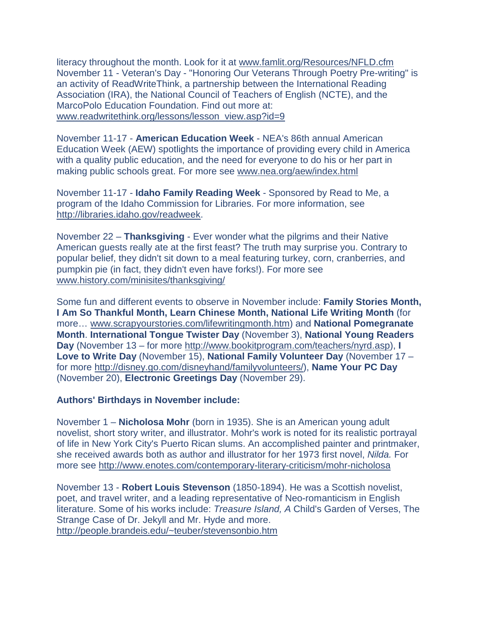literacy throughout the month. Look for it at [www.famlit.org/Resources/NFLD.cfm](http://www.famlit.org/Resources/NFLD.cfm) November 11 - Veteran's Day - "Honoring Our Veterans Through Poetry Pre-writing" is an activity of ReadWriteThink, a partnership between the International Reading Association (IRA), the National Council of Teachers of English (NCTE), and the MarcoPolo Education Foundation. Find out more at: [www.readwritethink.org/lessons/lesson\\_view.asp?id=9](http://www.readwritethink.org/lessons/lesson_view.asp?id=9)

November 11-17 - **American Education Week** - NEA's 86th annual American Education Week (AEW) spotlights the importance of providing every child in America with a quality public education, and the need for everyone to do his or her part in making public schools great. For more see [www.nea.org/aew/index.html](http://www.nea.org/aew/index.html)

November 11-17 - **Idaho Family Reading Week** - Sponsored by Read to Me, a program of the Idaho Commission for Libraries. For more information, see [http://libraries.idaho.gov/readweek.](http://164.165.30.103/icfl/readweek)

November 22 – **Thanksgiving** - Ever wonder what the pilgrims and their Native American guests really ate at the first feast? The truth may surprise you. Contrary to popular belief, they didn't sit down to a meal featuring turkey, corn, cranberries, and pumpkin pie (in fact, they didn't even have forks!). For more see [www.history.com/minisites/thanksgiving/](http://www.history.com/minisites/thanksgiving/)

Some fun and different events to observe in November include: **Family Stories Month, I Am So Thankful Month, Learn Chinese Month, National Life Writing Month** (for more… [www.scrapyourstories.com/lifewritingmonth.htm\)](http://www.scrapyourstories.com/lifewritingmonth.htm) and **National Pomegranate Month**. **International Tongue Twister Day** (November 3), **National Young Readers Day** (November 13 – for more [http://www.bookitprogram.com/teachers/nyrd.asp\)](http://www.bookitprogram.com/teachers/nyrd.asp), **I Love to Write Day** (November 15), **National Family Volunteer Day** (November 17 – for more [http://disney.go.com/disneyhand/familyvolunteers/\)](http://disney.go.com/disneyhand/familyvolunteers/), **Name Your PC Day** (November 20), **Electronic Greetings Day** (November 29).

#### **Authors' Birthdays in November include:**

November 1 – **Nicholosa Mohr** (born in 1935). She is an American young adult novelist, short story writer, and illustrator. Mohr's work is noted for its realistic portrayal of life in New York City's Puerto Rican slums. An accomplished painter and printmaker, she received awards both as author and illustrator for her 1973 first novel, *Nilda.* For more see<http://www.enotes.com/contemporary-literary-criticism/mohr-nicholosa>

November 13 - **Robert Louis Stevenson** (1850-1894). He was a Scottish novelist, poet, and travel writer, and a leading representative of Neo-romanticism in English literature. Some of his works include: *Treasure Island, A* Child's Garden of Verses, The Strange Case of Dr. Jekyll and Mr. Hyde and more. <http://people.brandeis.edu/~teuber/stevensonbio.htm>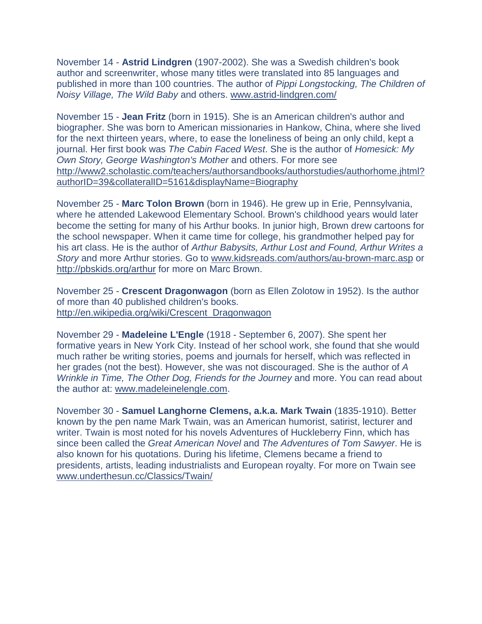November 14 - **Astrid Lindgren** (1907-2002). She was a Swedish children's book author and screenwriter, whose many titles were translated into 85 languages and published in more than 100 countries. The author of *Pippi Longstocking, The Children of Noisy Village, The Wild Baby* and others. [www.astrid-lindgren.com/](http://www.astrid-lindgren.com/)

November 15 - **Jean Fritz** (born in 1915). She is an American children's author and biographer. She was born to American missionaries in Hankow, China, where she lived for the next thirteen years, where, to ease the loneliness of being an only child, kept a journal. Her first book was *The Cabin Faced West*. She is the author of *Homesick: My Own Story, George Washington's Mother* and others. For more see [http://www2.scholastic.com/teachers/authorsandbooks/authorstudies/authorhome.jhtml?](http://www2.scholastic.com/teachers/authorsandbooks/authorstudies/authorhome.jhtml?authorID=39&collateralID=5161&displayName=Biography) [authorID=39&collateralID=5161&displayName=Biography](http://www2.scholastic.com/teachers/authorsandbooks/authorstudies/authorhome.jhtml?authorID=39&collateralID=5161&displayName=Biography)

November 25 - **Marc Tolon Brown** (born in 1946). He grew up in Erie, Pennsylvania, where he attended Lakewood Elementary School. Brown's childhood years would later become the setting for many of his Arthur books. In junior high, Brown drew cartoons for the school newspaper. When it came time for college, his grandmother helped pay for his art class. He is the author of *Arthur Babysits, Arthur Lost and Found, Arthur Writes a Story* and more Arthur stories. Go to [www.kidsreads.com/authors/au-brown-marc.asp](http://www.kidsreads.com/authors/au-brown-marc.asp) or <http://pbskids.org/arthur> for more on Marc Brown.

November 25 - **Crescent Dragonwagon** (born as Ellen Zolotow in 1952). Is the author of more than 40 published children's books. [http://en.wikipedia.org/wiki/Crescent\\_Dragonwagon](http://en.wikipedia.org/wiki/Crescent_Dragonwagon)

November 29 - **Madeleine L'Engle** (1918 - September 6, 2007). She spent her formative years in New York City. Instead of her school work, she found that she would much rather be writing stories, poems and journals for herself, which was reflected in her grades (not the best). However, she was not discouraged. She is the author of *A Wrinkle in Time, The Other Dog, Friends for the Journey* and more. You can read about the author at: [www.madeleinelengle.com.](http://www.madeleinelengle.com/)

November 30 - **Samuel Langhorne Clemens, a.k.a. Mark Twain** (1835-1910). Better known by the pen name Mark Twain, was an American humorist, satirist, lecturer and writer. Twain is most noted for his novels Adventures of Huckleberry Finn, which has since been called the *Great American Novel* and *The Adventures of Tom Sawyer*. He is also known for his quotations. During his lifetime, Clemens became a friend to presidents, artists, leading industrialists and European royalty. For more on Twain see [www.underthesun.cc/Classics/Twain/](http://www.underthesun.cc/Classics/Twain/)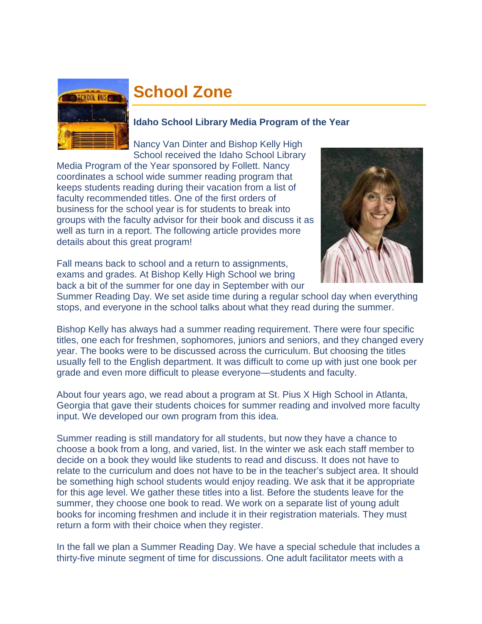<span id="page-9-0"></span>

## **School Zone**

#### **Idaho School Library Media Program of the Year**

Nancy Van Dinter and Bishop Kelly High School received the Idaho School Library

Media Program of the Year sponsored by Follett. Nancy coordinates a school wide summer reading program that keeps students reading during their vacation from a list of faculty recommended titles. One of the first orders of business for the school year is for students to break into groups with the faculty advisor for their book and discuss it as well as turn in a report. The following article provides more details about this great program!



Fall means back to school and a return to assignments, exams and grades. At Bishop Kelly High School we bring back a bit of the summer for one day in September with our

Summer Reading Day. We set aside time during a regular school day when everything stops, and everyone in the school talks about what they read during the summer.

Bishop Kelly has always had a summer reading requirement. There were four specific titles, one each for freshmen, sophomores, juniors and seniors, and they changed every year. The books were to be discussed across the curriculum. But choosing the titles usually fell to the English department. It was difficult to come up with just one book per grade and even more difficult to please everyone—students and faculty.

About four years ago, we read about a program at St. Pius X High School in Atlanta, Georgia that gave their students choices for summer reading and involved more faculty input. We developed our own program from this idea.

Summer reading is still mandatory for all students, but now they have a chance to choose a book from a long, and varied, list. In the winter we ask each staff member to decide on a book they would like students to read and discuss. It does not have to relate to the curriculum and does not have to be in the teacher's subject area. It should be something high school students would enjoy reading. We ask that it be appropriate for this age level. We gather these titles into a list. Before the students leave for the summer, they choose one book to read. We work on a separate list of young adult books for incoming freshmen and include it in their registration materials. They must return a form with their choice when they register.

In the fall we plan a Summer Reading Day. We have a special schedule that includes a thirty-five minute segment of time for discussions. One adult facilitator meets with a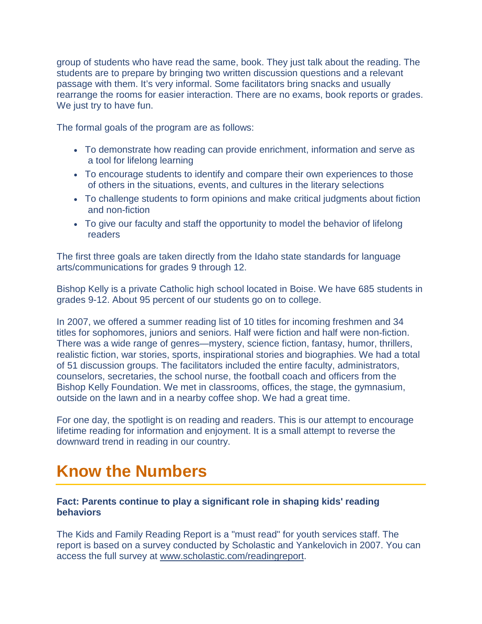group of students who have read the same, book. They just talk about the reading. The students are to prepare by bringing two written discussion questions and a relevant passage with them. It's very informal. Some facilitators bring snacks and usually rearrange the rooms for easier interaction. There are no exams, book reports or grades. We just try to have fun.

The formal goals of the program are as follows:

- To demonstrate how reading can provide enrichment, information and serve as a tool for lifelong learning
- To encourage students to identify and compare their own experiences to those of others in the situations, events, and cultures in the literary selections
- To challenge students to form opinions and make critical judgments about fiction and non-fiction
- To give our faculty and staff the opportunity to model the behavior of lifelong readers

The first three goals are taken directly from the Idaho state standards for language arts/communications for grades 9 through 12.

Bishop Kelly is a private Catholic high school located in Boise. We have 685 students in grades 9-12. About 95 percent of our students go on to college.

In 2007, we offered a summer reading list of 10 titles for incoming freshmen and 34 titles for sophomores, juniors and seniors. Half were fiction and half were non-fiction. There was a wide range of genres—mystery, science fiction, fantasy, humor, thrillers, realistic fiction, war stories, sports, inspirational stories and biographies. We had a total of 51 discussion groups. The facilitators included the entire faculty, administrators, counselors, secretaries, the school nurse, the football coach and officers from the Bishop Kelly Foundation. We met in classrooms, offices, the stage, the gymnasium, outside on the lawn and in a nearby coffee shop. We had a great time.

For one day, the spotlight is on reading and readers. This is our attempt to encourage lifetime reading for information and enjoyment. It is a small attempt to reverse the downward trend in reading in our country.

## <span id="page-10-0"></span>**Know the Numbers**

#### **Fact: Parents continue to play a significant role in shaping kids' reading behaviors**

The Kids and Family Reading Report is a "must read" for youth services staff. The report is based on a survey conducted by Scholastic and Yankelovich in 2007. You can access the full survey at [www.scholastic.com/readingreport.](http://www.scholastic.com/readingreport)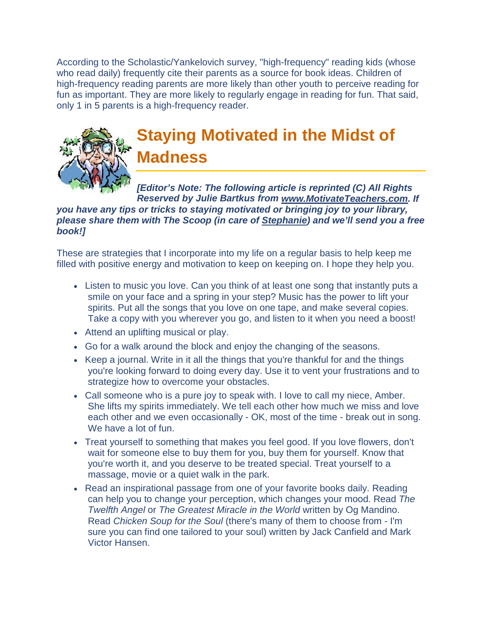<span id="page-11-0"></span>According to the Scholastic/Yankelovich survey, "high-frequency" reading kids (whose who read daily) frequently cite their parents as a source for book ideas. Children of high-frequency reading parents are more likely than other youth to perceive reading for fun as important. They are more likely to regularly engage in reading for fun. That said, only 1 in 5 parents is a high-frequency reader.



## **Staying Motivated in the Midst of Madness**

*[Editor's Note: The following article is reprinted (C) All Rights Reserved by Julie Bartkus from [www.MotivateTeachers.com.](http://www.motivateteachers.com/) If* 

#### *you have any tips or tricks to staying motivated or bringing joy to your library, please share them with The Scoop (in care of [Stephanie\)](http://164.165.30.103/icfl/contact/Stephanie+Bailey-White+-+Projects+Coordinator) and we'll send you a free book!]*

These are strategies that I incorporate into my life on a regular basis to help keep me filled with positive energy and motivation to keep on keeping on. I hope they help you.

- Listen to music you love. Can you think of at least one song that instantly puts a smile on your face and a spring in your step? Music has the power to lift your spirits. Put all the songs that you love on one tape, and make several copies. Take a copy with you wherever you go, and listen to it when you need a boost!
- Attend an uplifting musical or play.
- Go for a walk around the block and enjoy the changing of the seasons.
- Keep a journal. Write in it all the things that you're thankful for and the things you're looking forward to doing every day. Use it to vent your frustrations and to strategize how to overcome your obstacles.
- Call someone who is a pure joy to speak with. I love to call my niece, Amber. She lifts my spirits immediately. We tell each other how much we miss and love each other and we even occasionally - OK, most of the time - break out in song. We have a lot of fun.
- Treat yourself to something that makes you feel good. If you love flowers, don't wait for someone else to buy them for you, buy them for yourself. Know that you're worth it, and you deserve to be treated special. Treat yourself to a massage, movie or a quiet walk in the park.
- Read an inspirational passage from one of your favorite books daily. Reading can help you to change your perception, which changes your mood. Read *The Twelfth Angel* or *The Greatest Miracle in the World* written by Og Mandino. Read *Chicken Soup for the Soul* (there's many of them to choose from - I'm sure you can find one tailored to your soul) written by Jack Canfield and Mark Victor Hansen.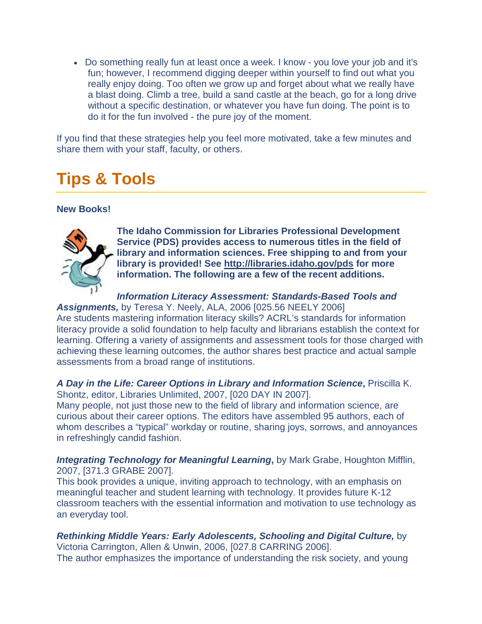• Do something really fun at least once a week. I know - you love your job and it's fun; however, I recommend digging deeper within yourself to find out what you really enjoy doing. Too often we grow up and forget about what we really have a blast doing. Climb a tree, build a sand castle at the beach, go for a long drive without a specific destination, or whatever you have fun doing. The point is to do it for the fun involved - the pure joy of the moment.

If you find that these strategies help you feel more motivated, take a few minutes and share them with your staff, faculty, or others.

## <span id="page-12-0"></span>**Tips & Tools**

#### **New Books!**



**The Idaho Commission for Libraries Professional Development Service (PDS) provides access to numerous titles in the field of library and information sciences. Free shipping to and from your library is provided! See [http://libraries.idaho.gov/pds](http://164.165.30.103/icfl/pds) for more information. The following are a few of the recent additions.** 

*Information Literacy Assessment: Standards-Based Tools and* 

*Assignments,* by Teresa Y. Neely, ALA, 2006 [025.56 NEELY 2006] Are students mastering information literacy skills? ACRL's standards for information literacy provide a solid foundation to help faculty and librarians establish the context for learning. Offering a variety of assignments and assessment tools for those charged with achieving these learning outcomes, the author shares best practice and actual sample assessments from a broad range of institutions.

#### *A Day in the Life: Career Options in Library and Information Science***,** Priscilla K. Shontz, editor, Libraries Unlimited, 2007, [020 DAY IN 2007].

Many people, not just those new to the field of library and information science, are curious about their career options. The editors have assembled 95 authors, each of whom describes a "typical" workday or routine, sharing joys, sorrows, and annoyances in refreshingly candid fashion.

*Integrating Technology for Meaningful Learning***,** by Mark Grabe, Houghton Mifflin, 2007, [371.3 GRABE 2007].

This book provides a unique, inviting approach to technology, with an emphasis on meaningful teacher and student learning with technology. It provides future K-12 classroom teachers with the essential information and motivation to use technology as an everyday tool.

*Rethinking Middle Years: Early Adolescents, Schooling and Digital Culture,* by Victoria Carrington, Allen & Unwin, 2006, [027.8 CARRING 2006]. The author emphasizes the importance of understanding the risk society, and young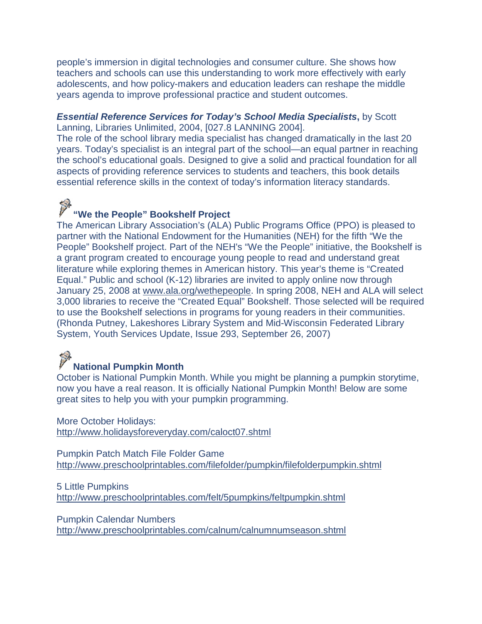people's immersion in digital technologies and consumer culture. She shows how teachers and schools can use this understanding to work more effectively with early adolescents, and how policy-makers and education leaders can reshape the middle years agenda to improve professional practice and student outcomes.

#### *Essential Reference Services for Today's School Media Specialists***,** by Scott Lanning, Libraries Unlimited, 2004, [027.8 LANNING 2004].

The role of the school library media specialist has changed dramatically in the last 20 years. Today's specialist is an integral part of the school—an equal partner in reaching the school's educational goals. Designed to give a solid and practical foundation for all aspects of providing reference services to students and teachers, this book details essential reference skills in the context of today's information literacy standards.

## **We the People" Bookshelf Project**

The American Library Association's (ALA) Public Programs Office (PPO) is pleased to partner with the National Endowment for the Humanities (NEH) for the fifth "We the People" Bookshelf project. Part of the NEH's "We the People" initiative, the Bookshelf is a grant program created to encourage young people to read and understand great literature while exploring themes in American history. This year's theme is "Created Equal." Public and school (K-12) libraries are invited to apply online now through January 25, 2008 at [www.ala.org/wethepeople.](http://www.ala.org/wethepeople) In spring 2008, NEH and ALA will select 3,000 libraries to receive the "Created Equal" Bookshelf. Those selected will be required to use the Bookshelf selections in programs for young readers in their communities. (Rhonda Putney, Lakeshores Library System and Mid-Wisconsin Federated Library System, Youth Services Update, Issue 293, September 26, 2007)

# **National Pumpkin Month**

October is National Pumpkin Month. While you might be planning a pumpkin storytime, now you have a real reason. It is officially National Pumpkin Month! Below are some great sites to help you with your pumpkin programming.

More October Holidays: <http://www.holidaysforeveryday.com/caloct07.shtml>

Pumpkin Patch Match File Folder Game <http://www.preschoolprintables.com/filefolder/pumpkin/filefolderpumpkin.shtml>

5 Little Pumpkins <http://www.preschoolprintables.com/felt/5pumpkins/feltpumpkin.shtml>

Pumpkin Calendar Numbers <http://www.preschoolprintables.com/calnum/calnumnumseason.shtml>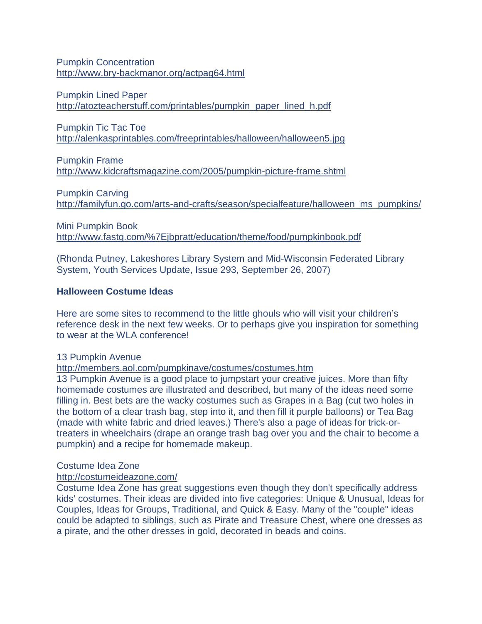Pumpkin Concentration <http://www.bry-backmanor.org/actpag64.html>

Pumpkin Lined Paper [http://atozteacherstuff.com/printables/pumpkin\\_paper\\_lined\\_h.pdf](http://atozteacherstuff.com/printables/pumpkin_paper_lined_h.pdf)

Pumpkin Tic Tac Toe <http://alenkasprintables.com/freeprintables/halloween/halloween5.jpg>

Pumpkin Frame <http://www.kidcraftsmagazine.com/2005/pumpkin-picture-frame.shtml>

Pumpkin Carving [http://familyfun.go.com/arts-and-crafts/season/specialfeature/halloween\\_ms\\_pumpkins/](http://familyfun.go.com/arts-and-crafts/season/specialfeature/halloween_ms_pumpkins/)

Mini Pumpkin Book [http://www.fastq.com/%7Ejbpratt/education/theme/food/pumpkinbook.pdf](http://www.fastq.com/~jbpratt/education/theme/food/pumpkinbook.pdf)

(Rhonda Putney, Lakeshores Library System and Mid-Wisconsin Federated Library System, Youth Services Update, Issue 293, September 26, 2007)

#### **Halloween Costume Ideas**

Here are some sites to recommend to the little ghouls who will visit your children's reference desk in the next few weeks. Or to perhaps give you inspiration for something to wear at the WLA conference!

#### 13 Pumpkin Avenue

<http://members.aol.com/pumpkinave/costumes/costumes.htm>

13 Pumpkin Avenue is a good place to jumpstart your creative juices. More than fifty homemade costumes are illustrated and described, but many of the ideas need some filling in. Best bets are the wacky costumes such as Grapes in a Bag (cut two holes in the bottom of a clear trash bag, step into it, and then fill it purple balloons) or Tea Bag (made with white fabric and dried leaves.) There's also a page of ideas for trick-ortreaters in wheelchairs (drape an orange trash bag over you and the chair to become a pumpkin) and a recipe for homemade makeup.

#### Costume Idea Zone

<http://costumeideazone.com/>

Costume Idea Zone has great suggestions even though they don't specifically address kids' costumes. Their ideas are divided into five categories: Unique & Unusual, Ideas for Couples, Ideas for Groups, Traditional, and Quick & Easy. Many of the "couple" ideas could be adapted to siblings, such as Pirate and Treasure Chest, where one dresses as a pirate, and the other dresses in gold, decorated in beads and coins.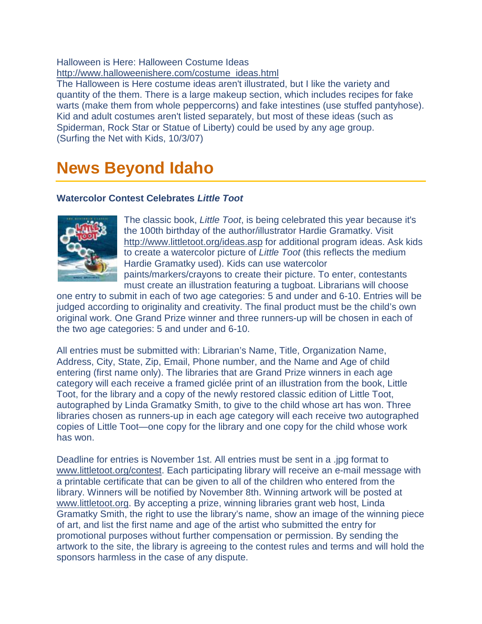#### Halloween is Here: Halloween Costume Ideas [http://www.halloweenishere.com/costume\\_ideas.html](http://www.halloweenishere.com/costume_ideas.html)

The Halloween is Here costume ideas aren't illustrated, but I like the variety and quantity of the them. There is a large makeup section, which includes recipes for fake warts (make them from whole peppercorns) and fake intestines (use stuffed pantyhose). Kid and adult costumes aren't listed separately, but most of these ideas (such as Spiderman, Rock Star or Statue of Liberty) could be used by any age group. (Surfing the Net with Kids, 10/3/07)

## <span id="page-15-0"></span>**News Beyond Idaho**

#### **Watercolor Contest Celebrates** *Little Toot*



The classic book, *Little Toot*, is being celebrated this year because it's the 100th birthday of the author/illustrator Hardie Gramatky. Visit <http://www.littletoot.org/ideas.asp> for additional program ideas. Ask kids to create a watercolor picture of *Little Toot* (this reflects the medium Hardie Gramatky used). Kids can use watercolor paints/markers/crayons to create their picture. To enter, contestants must create an illustration featuring a tugboat. Librarians will choose

one entry to submit in each of two age categories: 5 and under and 6-10. Entries will be judged according to originality and creativity. The final product must be the child's own original work. One Grand Prize winner and three runners-up will be chosen in each of the two age categories: 5 and under and 6-10.

All entries must be submitted with: Librarian's Name, Title, Organization Name, Address, City, State, Zip, Email, Phone number, and the Name and Age of child entering (first name only). The libraries that are Grand Prize winners in each age category will each receive a framed giclée print of an illustration from the book, Little Toot, for the library and a copy of the newly restored classic edition of Little Toot, autographed by Linda Gramatky Smith, to give to the child whose art has won. Three libraries chosen as runners-up in each age category will each receive two autographed copies of Little Toot—one copy for the library and one copy for the child whose work has won.

Deadline for entries is November 1st. All entries must be sent in a .jpg format to [www.littletoot.org/contest.](http://www.littletoot.org/contest) Each participating library will receive an e-mail message with a printable certificate that can be given to all of the children who entered from the library. Winners will be notified by November 8th. Winning artwork will be posted at [www.littletoot.org.](http://www.littletoot.org/) By accepting a prize, winning libraries grant web host, Linda Gramatky Smith, the right to use the library's name, show an image of the winning piece of art, and list the first name and age of the artist who submitted the entry for promotional purposes without further compensation or permission. By sending the artwork to the site, the library is agreeing to the contest rules and terms and will hold the sponsors harmless in the case of any dispute.